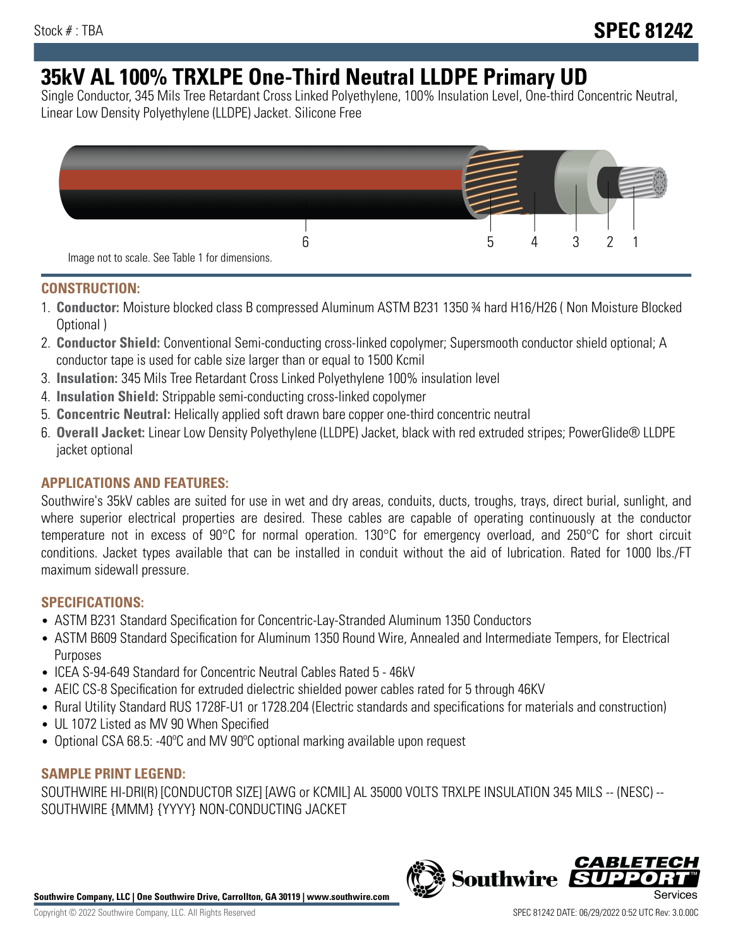# **35kV AL 100% TRXLPE One-Third Neutral LLDPE Primary UD**

Single Conductor, 345 Mils Tree Retardant Cross Linked Polyethylene, 100% Insulation Level, One-third Concentric Neutral, Linear Low Density Polyethylene (LLDPE) Jacket. Silicone Free



### **CONSTRUCTION:**

- 1. **Conductor:** Moisture blocked class B compressed Aluminum ASTM B231 1350 ¾ hard H16/H26 ( Non Moisture Blocked Optional )
- 2. **Conductor Shield:** Conventional Semi-conducting cross-linked copolymer; Supersmooth conductor shield optional; A conductor tape is used for cable size larger than or equal to 1500 Kcmil
- 3. **Insulation:** 345 Mils Tree Retardant Cross Linked Polyethylene 100% insulation level
- 4. **Insulation Shield:** Strippable semi-conducting cross-linked copolymer
- 5. **Concentric Neutral:** Helically applied soft drawn bare copper one-third concentric neutral
- 6. **Overall Jacket:** Linear Low Density Polyethylene (LLDPE) Jacket, black with red extruded stripes; PowerGlide® LLDPE jacket optional

## **APPLICATIONS AND FEATURES:**

Southwire's 35kV cables are suited for use in wet and dry areas, conduits, ducts, troughs, trays, direct burial, sunlight, and where superior electrical properties are desired. These cables are capable of operating continuously at the conductor temperature not in excess of 90°C for normal operation. 130°C for emergency overload, and 250°C for short circuit conditions. Jacket types available that can be installed in conduit without the aid of lubrication. Rated for 1000 lbs./FT maximum sidewall pressure.

### **SPECIFICATIONS:**

- ASTM B231 Standard Specification for Concentric-Lay-Stranded Aluminum 1350 Conductors
- ASTM B609 Standard Specification for Aluminum 1350 Round Wire, Annealed and Intermediate Tempers, for Electrical Purposes
- ICEA S-94-649 Standard for Concentric Neutral Cables Rated 5 46kV
- AEIC CS-8 Specification for extruded dielectric shielded power cables rated for 5 through 46KV
- Rural Utility Standard RUS 1728F-U1 or 1728.204 (Electric standards and specifications for materials and construction)
- UL 1072 Listed as MV 90 When Specified
- Optional CSA 68.5: -40ºC and MV 90ºC optional marking available upon request

### **SAMPLE PRINT LEGEND:**

SOUTHWIRE HI-DRI(R) [CONDUCTOR SIZE] [AWG or KCMIL] AL 35000 VOLTS TRXLPE INSULATION 345 MILS -- (NESC) -- SOUTHWIRE {MMM} {YYYY} NON-CONDUCTING JACKET

**Southwire Company, LLC | One Southwire Drive, Carrollton, GA 30119 | www.southwire.com**

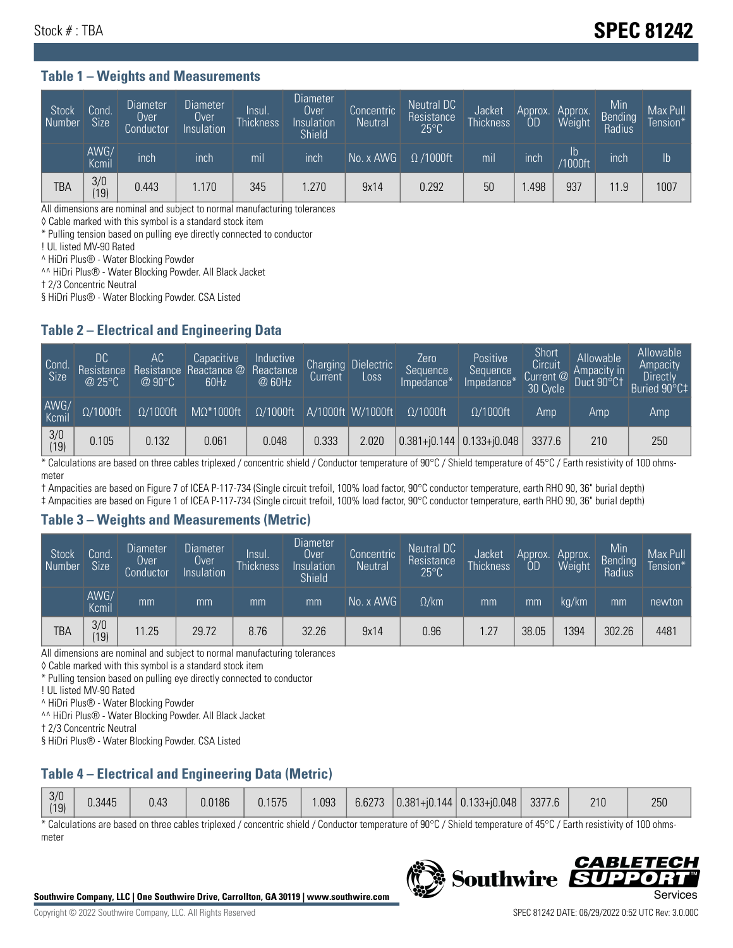# Stock # : TBA **SPEC 81242**

#### **Table 1 – Weights and Measurements**

| Stock<br>Number | Cond<br>Size <sup>'</sup> | <b>Diameter</b><br><b>Over</b><br>Conductor | <b>Diameter</b><br>Over<br>Insulation | Insul.<br><b>Thickness</b> | Diameter<br>Over<br>Insulation<br><b>Shield</b> | Concentric<br><b>Neutral</b> | Neutral DC<br>Resistance<br>$25^{\circ}$ C | Jacket<br><b>Thickness</b> | Approx.<br>OD | Approx.<br>Weight    | Min<br><b>Bending</b><br>Radius | Max Pull<br>Tension* |
|-----------------|---------------------------|---------------------------------------------|---------------------------------------|----------------------------|-------------------------------------------------|------------------------------|--------------------------------------------|----------------------------|---------------|----------------------|---------------------------------|----------------------|
|                 | AWG/<br>Kcmil             | inch                                        | inch                                  | mil                        | inch                                            | No. x AWG                    | $\Omega$ /1000ft                           | mil                        | inch          | ID<br><b>Y1000ft</b> | inch                            | I <sub>b</sub>       |
| TBA             | 3/0<br>(19)               | 0.443                                       | 1.170                                 | 345                        | .270                                            | 9x14                         | 0.292                                      | 50                         | .498          | 937                  | 11.9                            | 1007                 |

All dimensions are nominal and subject to normal manufacturing tolerances

◊ Cable marked with this symbol is a standard stock item

\* Pulling tension based on pulling eye directly connected to conductor

! UL listed MV-90 Rated

^ HiDri Plus® - Water Blocking Powder

^^ HiDri Plus® - Water Blocking Powder. All Black Jacket

† 2/3 Concentric Neutral

§ HiDri Plus® - Water Blocking Powder. CSA Listed

### **Table 2 – Electrical and Engineering Data**

| Cond.<br>Size         | 'DC.<br>Resistance<br>@25°C | АC<br>Resistance<br>$\varpi$ 90°C | Capacitive<br>Reactance @<br>60Hz | Inductive<br>Reactance<br>@ 60Hz | <b>Charging</b><br>Current | <b>Dielectric</b><br>Loss | Zero<br>Sequence<br>Impedance* | Positive<br>Sequence<br>Impedance <sup>®</sup> | Short<br>Circuit<br>Current <sup>@</sup><br>30 Cycle | Allowable<br>Ampacity in<br>Duct 90°C1 | Allowable<br>Ampacity<br>Directly<br>Buried 90°C‡ |
|-----------------------|-----------------------------|-----------------------------------|-----------------------------------|----------------------------------|----------------------------|---------------------------|--------------------------------|------------------------------------------------|------------------------------------------------------|----------------------------------------|---------------------------------------------------|
| AWG/<br>Kcmil         | $\Omega/1000$ ft            | $\Omega/1000$ ft                  | $M\Omega^*1000$ ft                | $\Omega/1000$ ft                 |                            | A/1000ft W/1000ft         | $\Omega/1000$ ft               | $\Omega$ /1000ft                               | Amp                                                  | Amp                                    | Amp                                               |
| $\frac{3}{0}$<br>(19) | 0.105                       | 0.132                             | 0.061                             | 0.048                            | 0.333                      | 2.020                     |                                | $0.381 + 0.144$ 0.133+ $0.048$                 | 3377.6                                               | 210                                    | 250                                               |

\* Calculations are based on three cables triplexed / concentric shield / Conductor temperature of 90°C / Shield temperature of 45°C / Earth resistivity of 100 ohmsmeter

† Ampacities are based on Figure 7 of ICEA P-117-734 (Single circuit trefoil, 100% load factor, 90°C conductor temperature, earth RHO 90, 36" burial depth)

‡ Ampacities are based on Figure 1 of ICEA P-117-734 (Single circuit trefoil, 100% load factor, 90°C conductor temperature, earth RHO 90, 36" burial depth)

#### **Table 3 – Weights and Measurements (Metric)**

| Stock<br>Number | Cond.<br>Size <sup>1</sup> | <b>Diameter</b><br><b>Over</b><br>Conductor | <b>Diameter</b><br><b>Over</b><br>Insulation | Insul.<br><b>Thickness</b> | <b>Diameter</b><br>Over<br>Insulation<br><b>Shield</b> | Concentric<br><b>Neutral</b> | Neutral DC<br>Resistance<br>$25^{\circ}$ C | Jacket<br><b>Thickness</b> | Approx.<br>OD | Approx.<br>Weight | Min<br>Bending<br>Radius | Max Pull<br>Tension* |
|-----------------|----------------------------|---------------------------------------------|----------------------------------------------|----------------------------|--------------------------------------------------------|------------------------------|--------------------------------------------|----------------------------|---------------|-------------------|--------------------------|----------------------|
|                 | AWG/<br>Kcmil              | mm                                          | mm                                           | mm                         | mm                                                     | No. x AWG                    | $\Omega$ /km                               | mm                         | mm            | ka/km             | mm                       | newton               |
| <b>TBA</b>      | 3/0<br>(19)                | 11.25                                       | 29.72                                        | 8.76                       | 32.26                                                  | 9x14                         | 0.96                                       | .27                        | 38.05         | 1394              | 302.26                   | 4481                 |

All dimensions are nominal and subject to normal manufacturing tolerances

◊ Cable marked with this symbol is a standard stock item

\* Pulling tension based on pulling eye directly connected to conductor

! UL listed MV-90 Rated

^ HiDri Plus® - Water Blocking Powder

^^ HiDri Plus® - Water Blocking Powder. All Black Jacket

† 2/3 Concentric Neutral

§ HiDri Plus® - Water Blocking Powder. CSA Listed

## **Table 4 – Electrical and Engineering Data (Metric)**

\* Calculations are based on three cables triplexed / concentric shield / Conductor temperature of 90°C / Shield temperature of 45°C / Earth resistivity of 100 ohmsmeter



**Southwire** 

**CABLE** 

БЕЛ